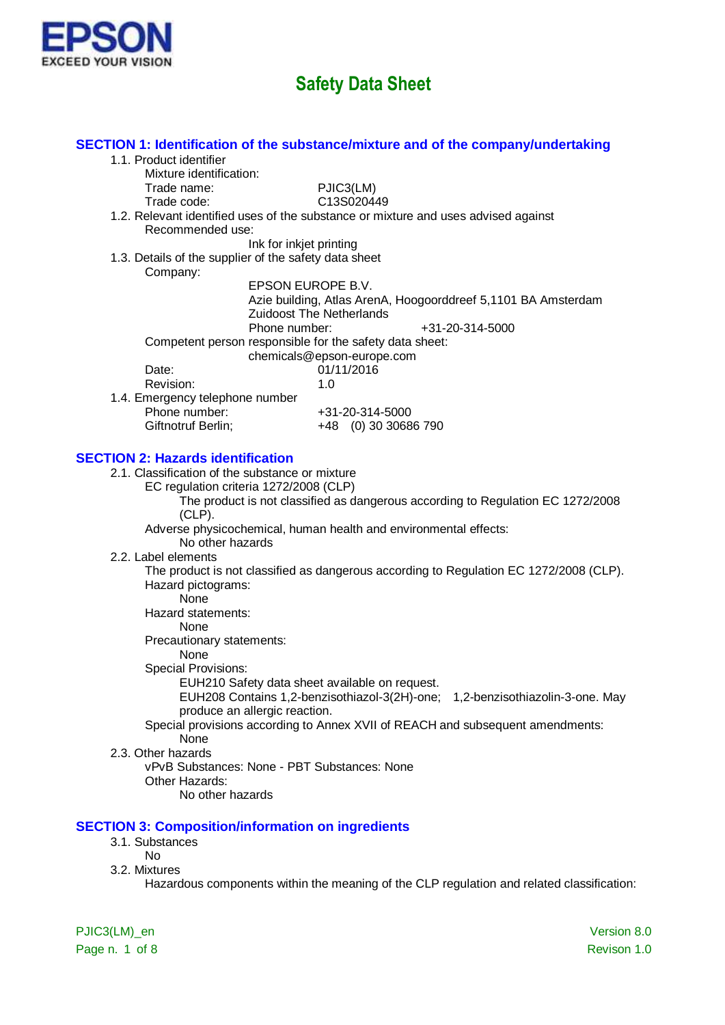

| SECTION 1: Identification of the substance/mixture and of the company/undertaking                      |             |
|--------------------------------------------------------------------------------------------------------|-------------|
| 1.1. Product identifier                                                                                |             |
| Mixture identification:                                                                                |             |
| PJIC3(LM)<br>Trade name:                                                                               |             |
| C13S020449<br>Trade code:                                                                              |             |
| 1.2. Relevant identified uses of the substance or mixture and uses advised against<br>Recommended use: |             |
| Ink for inkjet printing                                                                                |             |
| 1.3. Details of the supplier of the safety data sheet                                                  |             |
| Company:                                                                                               |             |
| EPSON EUROPE B.V.                                                                                      |             |
| Azie building, Atlas ArenA, Hoogoorddreef 5,1101 BA Amsterdam                                          |             |
| <b>Zuidoost The Netherlands</b>                                                                        |             |
| Phone number:<br>+31-20-314-5000                                                                       |             |
| Competent person responsible for the safety data sheet:                                                |             |
| chemicals@epson-europe.com                                                                             |             |
| Date:<br>01/11/2016                                                                                    |             |
| Revision:<br>1.0                                                                                       |             |
| 1.4. Emergency telephone number                                                                        |             |
| Phone number:<br>+31-20-314-5000                                                                       |             |
| Giftnotruf Berlin;<br>+48 (0) 30 30686 790                                                             |             |
|                                                                                                        |             |
| <b>SECTION 2: Hazards identification</b>                                                               |             |
| 2.1. Classification of the substance or mixture                                                        |             |
| EC regulation criteria 1272/2008 (CLP)                                                                 |             |
| The product is not classified as dangerous according to Regulation EC 1272/2008                        |             |
| $(CLP)$ .<br>Adverse physicochemical, human health and environmental effects:                          |             |
| No other hazards                                                                                       |             |
| 2.2. Label elements                                                                                    |             |
| The product is not classified as dangerous according to Regulation EC 1272/2008 (CLP).                 |             |
| Hazard pictograms:                                                                                     |             |
| None                                                                                                   |             |
| Hazard statements:                                                                                     |             |
| None                                                                                                   |             |
| Precautionary statements:                                                                              |             |
| None                                                                                                   |             |
| <b>Special Provisions:</b>                                                                             |             |
| EUH210 Safety data sheet available on request.                                                         |             |
| EUH208 Contains 1,2-benzisothiazol-3(2H)-one; 1,2-benzisothiazolin-3-one. May                          |             |
| produce an allergic reaction.                                                                          |             |
| Special provisions according to Annex XVII of REACH and subsequent amendments:                         |             |
| None                                                                                                   |             |
| 2.3. Other hazards                                                                                     |             |
| vPvB Substances: None - PBT Substances: None                                                           |             |
| Other Hazards:                                                                                         |             |
| No other hazards                                                                                       |             |
|                                                                                                        |             |
| <b>SECTION 3: Composition/information on ingredients</b>                                               |             |
| 3.1. Substances                                                                                        |             |
| <b>No</b>                                                                                              |             |
| 3.2. Mixtures                                                                                          |             |
| Hazardous components within the meaning of the CLP regulation and related classification:              |             |
|                                                                                                        |             |
|                                                                                                        |             |
| PJIC3(LM)_en                                                                                           | Version 8.0 |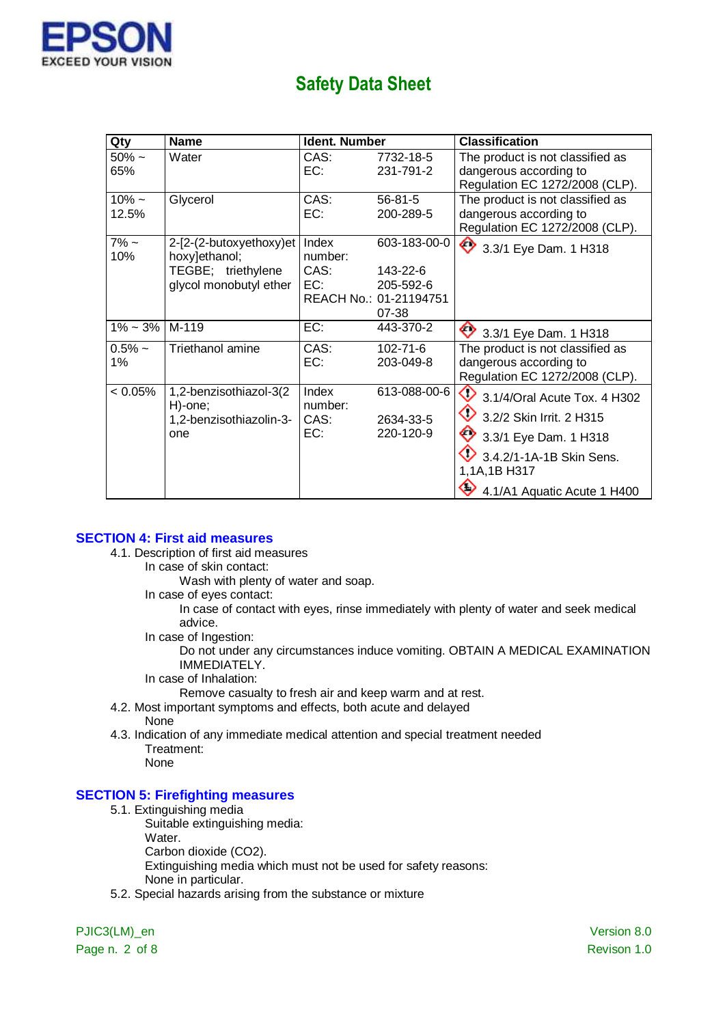

| Qty            | <b>Name</b>                       | <b>Ident. Number</b> |                        | <b>Classification</b>             |
|----------------|-----------------------------------|----------------------|------------------------|-----------------------------------|
| $50\%$ ~       | Water                             | CAS:                 | 7732-18-5              | The product is not classified as  |
| 65%            |                                   | EC:                  | 231-791-2              | dangerous according to            |
|                |                                   |                      |                        | Regulation EC 1272/2008 (CLP).    |
| $10\% -$       | Glycerol                          | CAS:                 | $56 - 81 - 5$          | The product is not classified as  |
| 12.5%          |                                   | EC:                  | 200-289-5              | dangerous according to            |
|                |                                   |                      |                        | Regulation EC 1272/2008 (CLP).    |
| $7\%$ ~        | 2-[2-(2-butoxyethoxy)et           | Index                | 603-183-00-0           | 3.3/1 Eye Dam. 1 H318             |
| 10%            | hoxy]ethanol;                     | number:              |                        |                                   |
|                | TEGBE; triethylene                | CAS:                 | 143-22-6               |                                   |
|                | glycol monobutyl ether            | EC:                  | 205-592-6              |                                   |
|                |                                   |                      | REACH No.: 01-21194751 |                                   |
|                |                                   |                      | 07-38                  |                                   |
| $1\% \sim 3\%$ | M-119                             | EC:                  | 443-370-2              | 3.3/1 Eye Dam. 1 H318             |
| $0.5% \sim$    | Triethanol amine                  | CAS:                 | $102 - 71 - 6$         | The product is not classified as  |
| 1%             |                                   | EC:                  | 203-049-8              | dangerous according to            |
|                |                                   |                      |                        | Regulation EC 1272/2008 (CLP).    |
| $< 0.05\%$     | 1,2-benzisothiazol-3(2<br>H)-one; | Index<br>number:     | 613-088-00-6           | ♦<br>3.1/4/Oral Acute Tox. 4 H302 |
|                | 1,2-benzisothiazolin-3-           | CAS:                 | 2634-33-5              | ♦<br>3.2/2 Skin Irrit. 2 H315     |
|                | one                               | EC:                  | 220-120-9              | 3.3/1 Eye Dam. 1 H318             |
|                |                                   |                      |                        | 3.4.2/1-1A-1B Skin Sens.          |
|                |                                   |                      |                        | 1,1A,1B H317                      |
|                |                                   |                      |                        | 4.1/A1 Aquatic Acute 1 H400       |

#### **SECTION 4: First aid measures**

- 4.1. Description of first aid measures
	- In case of skin contact:
		- Wash with plenty of water and soap.
	- In case of eyes contact:

In case of contact with eyes, rinse immediately with plenty of water and seek medical advice.

In case of Ingestion:

Do not under any circumstances induce vomiting. OBTAIN A MEDICAL EXAMINATION IMMEDIATELY.

In case of Inhalation:

Remove casualty to fresh air and keep warm and at rest.

- 4.2. Most important symptoms and effects, both acute and delayed None
- 4.3. Indication of any immediate medical attention and special treatment needed Treatment:

None

#### **SECTION 5: Firefighting measures**

5.1. Extinguishing media

Suitable extinguishing media:

- Water.
- Carbon dioxide (CO2).

Extinguishing media which must not be used for safety reasons:

- None in particular.
- 5.2. Special hazards arising from the substance or mixture

Page n. 2 of 8 Revison 1.0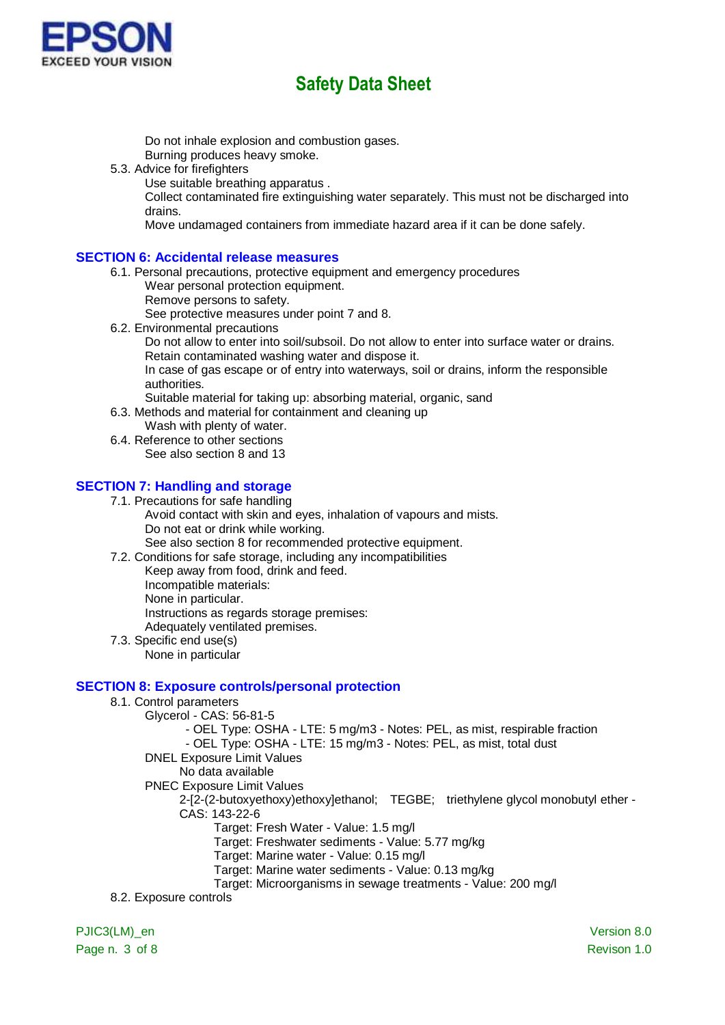

Do not inhale explosion and combustion gases.

Burning produces heavy smoke.

- 5.3. Advice for firefighters
	- Use suitable breathing apparatus .

Collect contaminated fire extinguishing water separately. This must not be discharged into drains.

Move undamaged containers from immediate hazard area if it can be done safely.

### **SECTION 6: Accidental release measures**

- 6.1. Personal precautions, protective equipment and emergency procedures Wear personal protection equipment.
	- Remove persons to safety.

See protective measures under point 7 and 8.

6.2. Environmental precautions Do not allow to enter into soil/subsoil. Do not allow to enter into surface water or drains. Retain contaminated washing water and dispose it. In case of gas escape or of entry into waterways, soil or drains, inform the responsible

authorities.

- Suitable material for taking up: absorbing material, organic, sand
- 6.3. Methods and material for containment and cleaning up Wash with plenty of water.
- 6.4. Reference to other sections See also section 8 and 13

### **SECTION 7: Handling and storage**

7.1. Precautions for safe handling

Avoid contact with skin and eyes, inhalation of vapours and mists. Do not eat or drink while working.

See also section 8 for recommended protective equipment.

7.2. Conditions for safe storage, including any incompatibilities

- Keep away from food, drink and feed. Incompatible materials: None in particular. Instructions as regards storage premises: Adequately ventilated premises.
- 7.3. Specific end use(s) None in particular

## **SECTION 8: Exposure controls/personal protection**

- 8.1. Control parameters
	- Glycerol CAS: 56-81-5
		- OEL Type: OSHA LTE: 5 mg/m3 Notes: PEL, as mist, respirable fraction

- OEL Type: OSHA - LTE: 15 mg/m3 - Notes: PEL, as mist, total dust

- DNEL Exposure Limit Values
	- No data available
- PNEC Exposure Limit Values

2-[2-(2-butoxyethoxy)ethoxy]ethanol; TEGBE; triethylene glycol monobutyl ether - CAS: 143-22-6

Target: Fresh Water - Value: 1.5 mg/l

Target: Freshwater sediments - Value: 5.77 mg/kg

Target: Marine water - Value: 0.15 mg/l

Target: Marine water sediments - Value: 0.13 mg/kg

Target: Microorganisms in sewage treatments - Value: 200 mg/l

8.2. Exposure controls

PJIC3(LM)\_en version 8.0 Page n. 3 of 8 Revison 1.0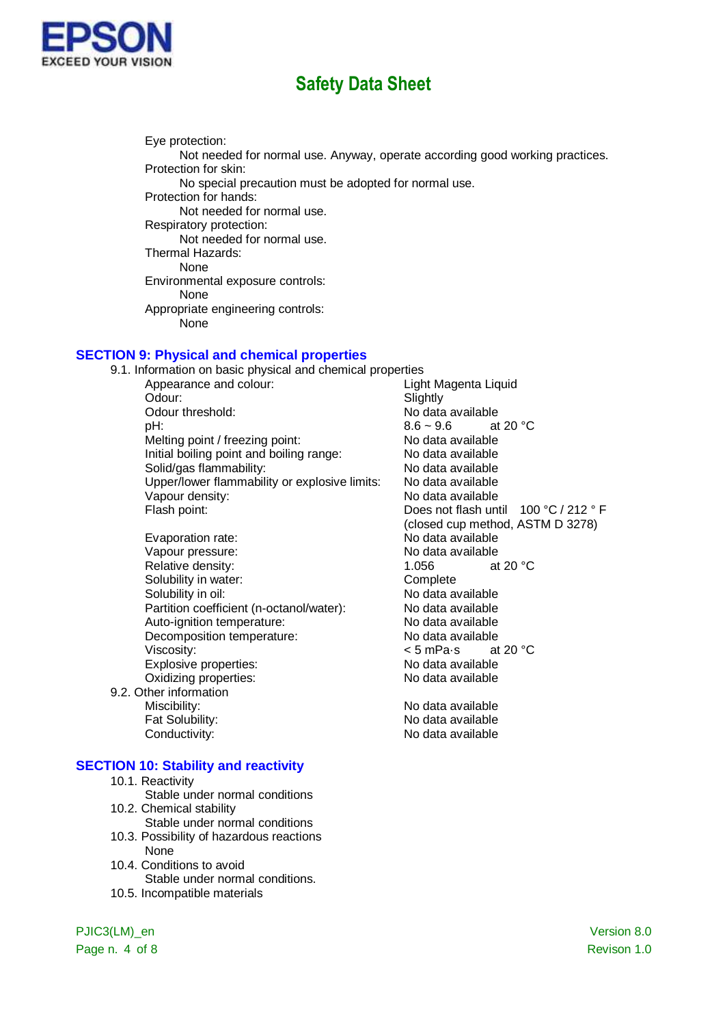

Eye protection: Not needed for normal use. Anyway, operate according good working practices. Protection for skin: No special precaution must be adopted for normal use. Protection for hands: Not needed for normal use. Respiratory protection: Not needed for normal use. Thermal Hazards: None Environmental exposure controls: None Appropriate engineering controls: None

### **SECTION 9: Physical and chemical properties**

9.1. Information on basic physical and chemical properties Appearance and colour: Light Magenta Liquid Odour: Slightly No data available<br> $8.6 \sim 9.6$  at 20 °C  $pH$ : 8.6 ~ 9.6 Melting point / freezing point: No data available Initial boiling point and boiling range: No data available Solid/gas flammability: No data available Upper/lower flammability or explosive limits: No data available Vapour density: No data available Flash point: The Contract of the Does not flash until 100 °C / 212 ° F (closed cup method, ASTM D 3278) Evaporation rate:<br>
Vapour pressure:<br>
Vapour pressure:<br>
Vapour pressure: Vapour pressure: Relative density: 1.056 at 20 °C Solubility in water: Complete Solubility in oil:<br>
Partition coefficient (n-octanol/water): No data available<br>
No data available Partition coefficient (n-octanol/water): Auto-ignition temperature: No data available Decomposition temperature: No data available<br>Viscosity:  $\leq 5$  mPa s at 20 °C Viscosity:  $\leftarrow$  5 mPa·s at 20 °C at 20 °C at 20 °C at 20 °C at 20 °C at 20 °C at 20 °C at 20 °C at 20 °C at 20 °C at 20 °C at 20 °C at 20 °C at 20 °C at 20 °C at 20 °C at 20 °C at 20 °C at 20 °C at 20 °C at 20 °C at 20 °C Explosive properties: Oxidizing properties: No data available 9.2. Other information Miscibility: Miscibility: No data available Fat Solubility: The Contract of the No data available Conductivity: Conductivity: Conductivity:

#### **SECTION 10: Stability and reactivity**

- 10.1. Reactivity
	- Stable under normal conditions
- 10.2. Chemical stability Stable under normal conditions
- 10.3. Possibility of hazardous reactions None
- 10.4. Conditions to avoid Stable under normal conditions.
- 10.5. Incompatible materials

Page n. 4 of 8 Revison 1.0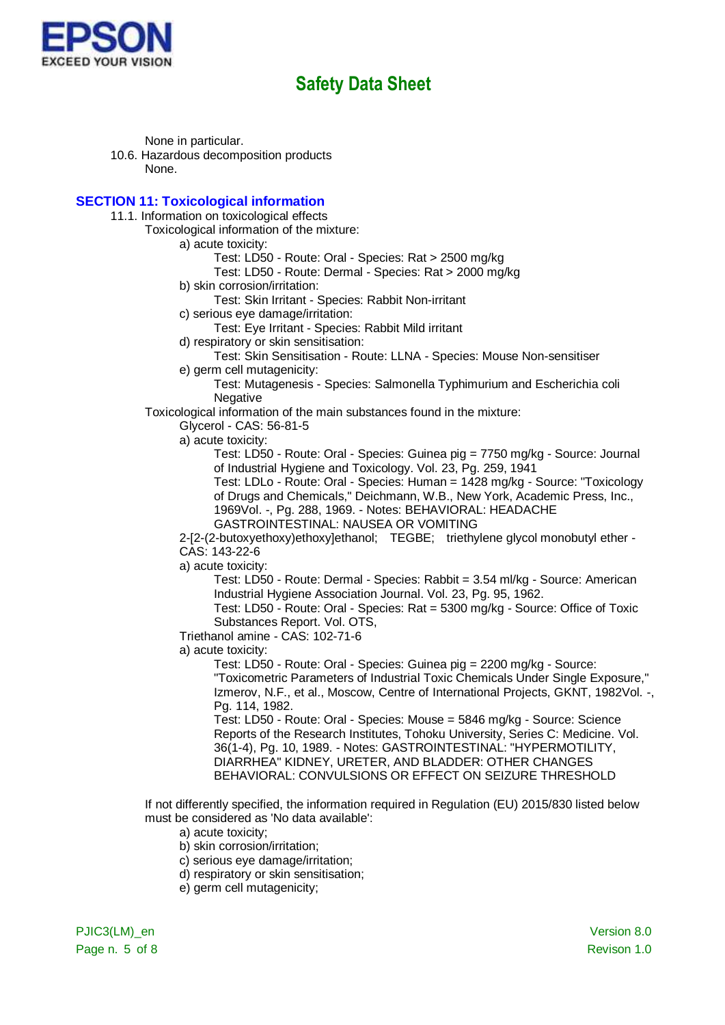

None in particular.

10.6. Hazardous decomposition products None.

#### **SECTION 11: Toxicological information**

11.1. Information on toxicological effects

Toxicological information of the mixture:

a) acute toxicity:

Test: LD50 - Route: Oral - Species: Rat > 2500 mg/kg

- Test: LD50 Route: Dermal Species: Rat > 2000 mg/kg
- b) skin corrosion/irritation:

Test: Skin Irritant - Species: Rabbit Non-irritant

c) serious eye damage/irritation:

Test: Eye Irritant - Species: Rabbit Mild irritant

- d) respiratory or skin sensitisation:
	- Test: Skin Sensitisation Route: LLNA Species: Mouse Non-sensitiser

e) germ cell mutagenicity:

Test: Mutagenesis - Species: Salmonella Typhimurium and Escherichia coli **Negative** 

Toxicological information of the main substances found in the mixture:

Glycerol - CAS: 56-81-5

a) acute toxicity:

Test: LD50 - Route: Oral - Species: Guinea pig = 7750 mg/kg - Source: Journal of Industrial Hygiene and Toxicology. Vol. 23, Pg. 259, 1941

Test: LDLo - Route: Oral - Species: Human = 1428 mg/kg - Source: "Toxicology of Drugs and Chemicals," Deichmann, W.B., New York, Academic Press, Inc., 1969Vol. -, Pg. 288, 1969. - Notes: BEHAVIORAL: HEADACHE

GASTROINTESTINAL: NAUSEA OR VOMITING

2-[2-(2-butoxyethoxy)ethoxy]ethanol; TEGBE; triethylene glycol monobutyl ether - CAS: 143-22-6

a) acute toxicity:

Test: LD50 - Route: Dermal - Species: Rabbit = 3.54 ml/kg - Source: American Industrial Hygiene Association Journal. Vol. 23, Pg. 95, 1962.

Test: LD50 - Route: Oral - Species: Rat = 5300 mg/kg - Source: Office of Toxic Substances Report. Vol. OTS,

Triethanol amine - CAS: 102-71-6

a) acute toxicity:

Test: LD50 - Route: Oral - Species: Guinea pig = 2200 mg/kg - Source: "Toxicometric Parameters of Industrial Toxic Chemicals Under Single Exposure," Izmerov, N.F., et al., Moscow, Centre of International Projects, GKNT, 1982Vol. -, Pg. 114, 1982.

Test: LD50 - Route: Oral - Species: Mouse = 5846 mg/kg - Source: Science Reports of the Research Institutes, Tohoku University, Series C: Medicine. Vol. 36(1-4), Pg. 10, 1989. - Notes: GASTROINTESTINAL: "HYPERMOTILITY, DIARRHEA" KIDNEY, URETER, AND BLADDER: OTHER CHANGES BEHAVIORAL: CONVULSIONS OR EFFECT ON SEIZURE THRESHOLD

If not differently specified, the information required in Regulation (EU) 2015/830 listed below must be considered as 'No data available':

a) acute toxicity;

- b) skin corrosion/irritation;
- c) serious eye damage/irritation;
- d) respiratory or skin sensitisation;
- e) germ cell mutagenicity;

PJIC3(LM)\_en version 8.0 Page n. 5 of 8 Revison 1.0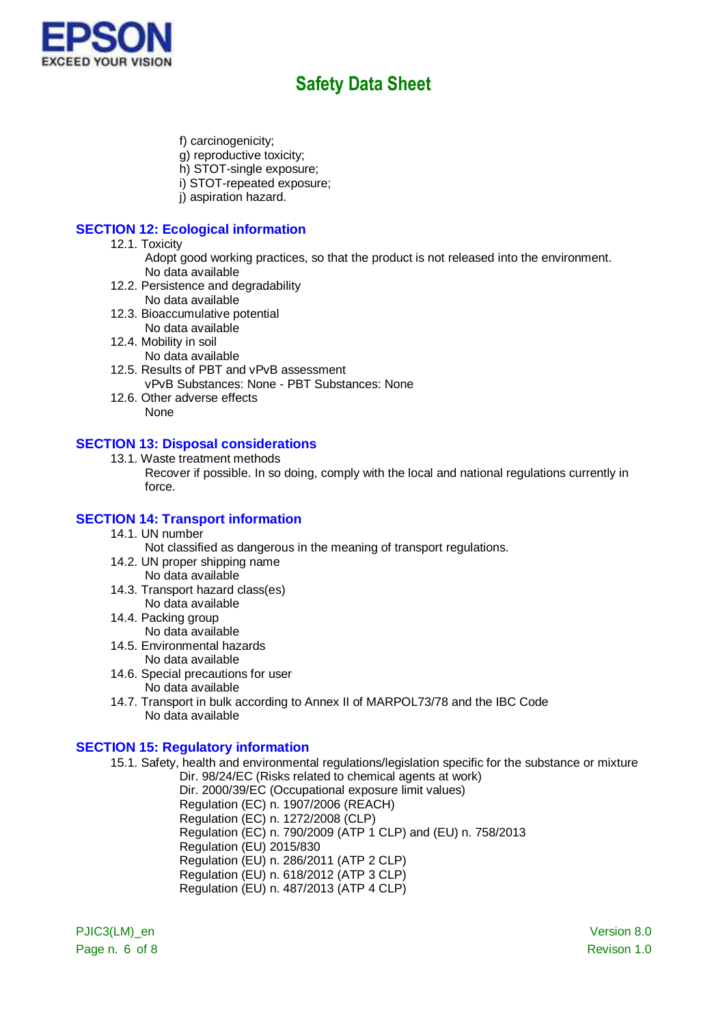

- f) carcinogenicity;
- g) reproductive toxicity;
- h) STOT-single exposure;
- i) STOT-repeated exposure;
- j) aspiration hazard.

### **SECTION 12: Ecological information**

- 12.1. Toxicity
	- Adopt good working practices, so that the product is not released into the environment. No data available
- 12.2. Persistence and degradability No data available
- 12.3. Bioaccumulative potential No data available
- 12.4. Mobility in soil
	- No data available
- 12.5. Results of PBT and vPvB assessment vPvB Substances: None - PBT Substances: None
- 12.6. Other adverse effects None

#### **SECTION 13: Disposal considerations**

- 13.1. Waste treatment methods
	- Recover if possible. In so doing, comply with the local and national regulations currently in force.

### **SECTION 14: Transport information**

- 14.1. UN number
	- Not classified as dangerous in the meaning of transport regulations.
- 14.2. UN proper shipping name No data available
- 14.3. Transport hazard class(es) No data available
- 14.4. Packing group
	- No data available
- 14.5. Environmental hazards
	- No data available
- 14.6. Special precautions for user
	- No data available
- 14.7. Transport in bulk according to Annex II of MARPOL73/78 and the IBC Code No data available

#### **SECTION 15: Regulatory information**

15.1. Safety, health and environmental regulations/legislation specific for the substance or mixture

Dir. 98/24/EC (Risks related to chemical agents at work) Dir. 2000/39/EC (Occupational exposure limit values) Regulation (EC) n. 1907/2006 (REACH) Regulation (EC) n. 1272/2008 (CLP) Regulation (EC) n. 790/2009 (ATP 1 CLP) and (EU) n. 758/2013 Regulation (EU) 2015/830 Regulation (EU) n. 286/2011 (ATP 2 CLP) Regulation (EU) n. 618/2012 (ATP 3 CLP) Regulation (EU) n. 487/2013 (ATP 4 CLP)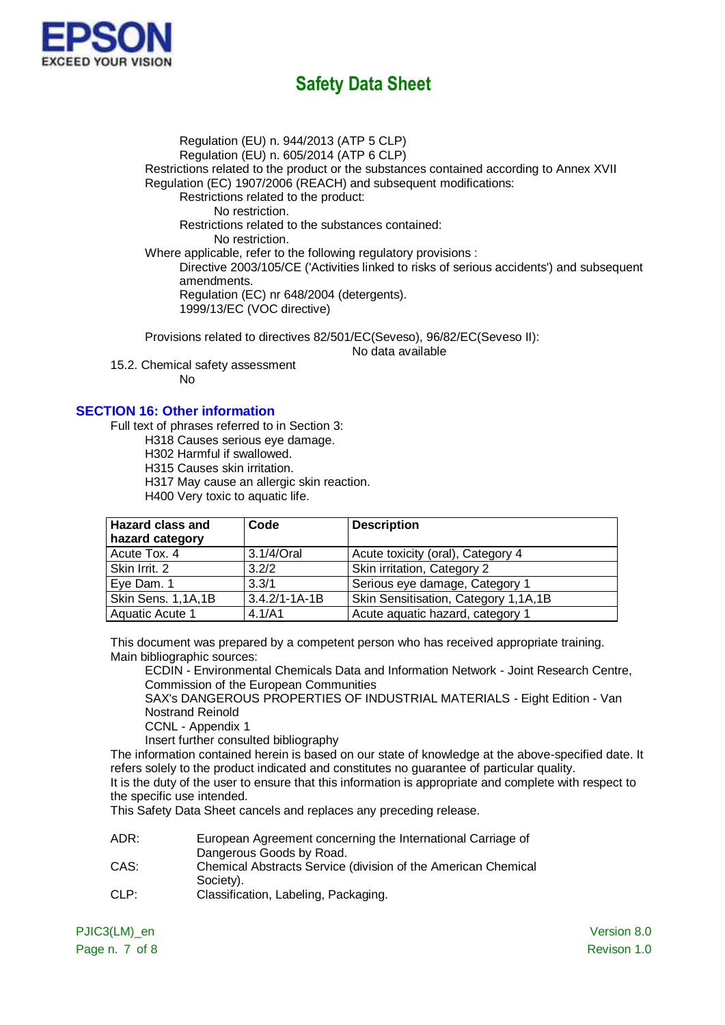

Regulation (EU) n. 944/2013 (ATP 5 CLP) Regulation (EU) n. 605/2014 (ATP 6 CLP) Restrictions related to the product or the substances contained according to Annex XVII

Regulation (EC) 1907/2006 (REACH) and subsequent modifications:

Restrictions related to the product:

No restriction.

Restrictions related to the substances contained:

No restriction.

Where applicable, refer to the following regulatory provisions :

Directive 2003/105/CE ('Activities linked to risks of serious accidents') and subsequent amendments.

Regulation (EC) nr 648/2004 (detergents). 1999/13/EC (VOC directive)

Provisions related to directives 82/501/EC(Seveso), 96/82/EC(Seveso II):

No data available

15.2. Chemical safety assessment No

### **SECTION 16: Other information**

Full text of phrases referred to in Section 3:

H318 Causes serious eye damage.

H302 Harmful if swallowed.

H315 Causes skin irritation.

H317 May cause an allergic skin reaction.

H400 Very toxic to aquatic life.

| <b>Hazard class and</b> | Code                | <b>Description</b>                   |
|-------------------------|---------------------|--------------------------------------|
| hazard category         |                     |                                      |
| Acute Tox, 4            | 3.1/4/Oral          | Acute toxicity (oral), Category 4    |
| Skin Irrit. 2           | 3.2/2               | Skin irritation, Category 2          |
| Eye Dam. 1              | 3.3/1               | Serious eye damage, Category 1       |
| Skin Sens. 1,1A,1B      | $3.4.2/1 - 1A - 1B$ | Skin Sensitisation, Category 1,1A,1B |
| Aquatic Acute 1         | 4.1/A1              | Acute aquatic hazard, category 1     |

This document was prepared by a competent person who has received appropriate training. Main bibliographic sources:

ECDIN - Environmental Chemicals Data and Information Network - Joint Research Centre, Commission of the European Communities

SAX's DANGEROUS PROPERTIES OF INDUSTRIAL MATERIALS - Eight Edition - Van Nostrand Reinold

CCNL - Appendix 1

Insert further consulted bibliography

The information contained herein is based on our state of knowledge at the above-specified date. It refers solely to the product indicated and constitutes no guarantee of particular quality. It is the duty of the user to ensure that this information is appropriate and complete with respect to

the specific use intended.

This Safety Data Sheet cancels and replaces any preceding release.

- ADR: European Agreement concerning the International Carriage of Dangerous Goods by Road.
- CAS: Chemical Abstracts Service (division of the American Chemical Society).
- CLP: Classification, Labeling, Packaging.

Page n. 7 of 8 Revison 1.0